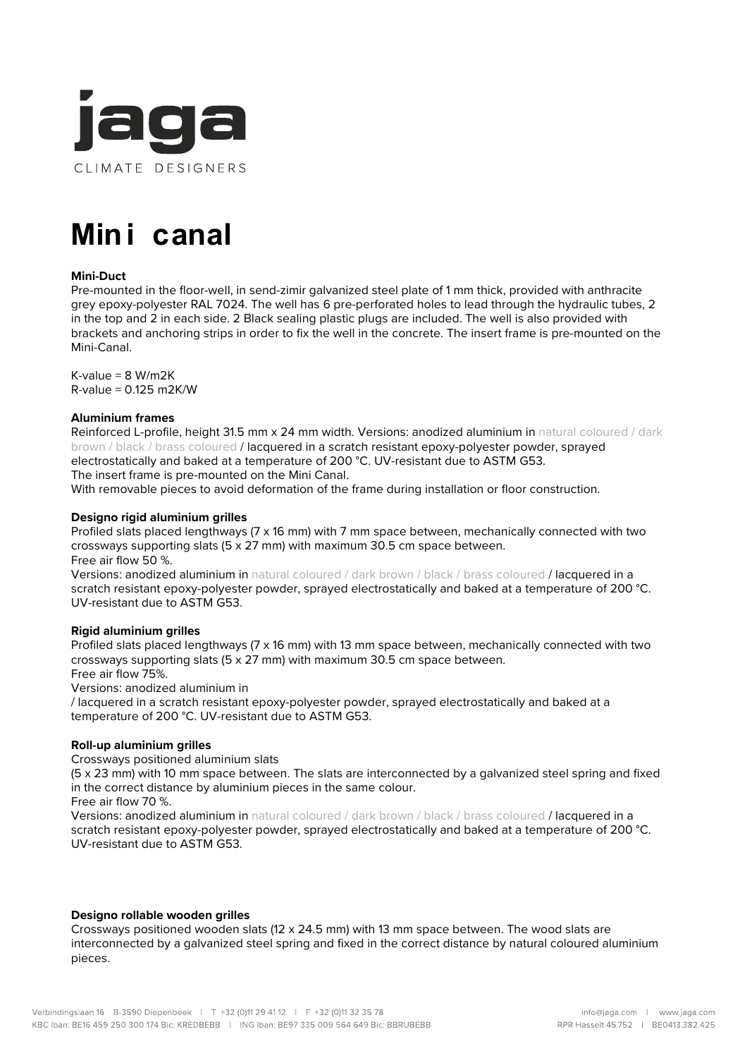

# **Mini canal**

# **Mini-Duct**

Pre-mounted in the floor-well, in send-zimir galvanized steel plate of 1 mm thick, provided with anthracite grey epoxy-polyester RAL 7024. The well has 6 pre-perforated holes to lead through the hydraulic tubes, 2 in the top and 2 in each side. 2 Black sealing plastic plugs are included. The well is also provided with brackets and anchoring strips in order to fix the well in the concrete. The insert frame is pre-mounted on the Mini-Canal.

 $K$ -value = 8 W/m2K R-value = 0.125 m2K/W

# **Aluminium frames**

Reinforced L-profile, height 31.5 mm x 24 mm width. Versions: anodized aluminium in natural coloured / dark brown / black / brass coloured / lacquered in a scratch resistant epoxy-polyester powder, sprayed electrostatically and baked at a temperature of 200 °C. UV-resistant due to ASTM G53.

The insert frame is pre-mounted on the Mini Canal.

With removable pieces to avoid deformation of the frame during installation or floor construction.

# **Designo rigid aluminium grilles**

Profiled slats placed lengthways (7 x 16 mm) with 7 mm space between, mechanically connected with two crossways supporting slats (5 x 27 mm) with maximum 30.5 cm space between. Free air flow 50 %.

Versions: anodized aluminium in natural coloured / dark brown / black / brass coloured / lacquered in a scratch resistant epoxy-polyester powder, sprayed electrostatically and baked at a temperature of 200 °C. UV-resistant due to ASTM G53.

# **Rigid aluminium grilles**

Profiled slats placed lengthways (7 x 16 mm) with 13 mm space between, mechanically connected with two crossways supporting slats (5 x 27 mm) with maximum 30.5 cm space between.

Free air flow 75%.

Versions: anodized aluminium in

/ lacquered in a scratch resistant epoxy-polyester powder, sprayed electrostatically and baked at a temperature of 200 °C. UV-resistant due to ASTM G53.

# **Roll-up aluminium grilles**

Crossways positioned aluminium slats

(5 x 23 mm) with 10 mm space between. The slats are interconnected by a galvanized steel spring and fixed in the correct distance by aluminium pieces in the same colour.

Free air flow 70 %.

Versions: anodized aluminium in natural coloured / dark brown / black / brass coloured / lacquered in a scratch resistant epoxy-polyester powder, sprayed electrostatically and baked at a temperature of 200 °C. UV-resistant due to ASTM G53.

# **Designo rollable wooden grilles**

Crossways positioned wooden slats (12 x 24.5 mm) with 13 mm space between. The wood slats are interconnected by a galvanized steel spring and fixed in the correct distance by natural coloured aluminium pieces.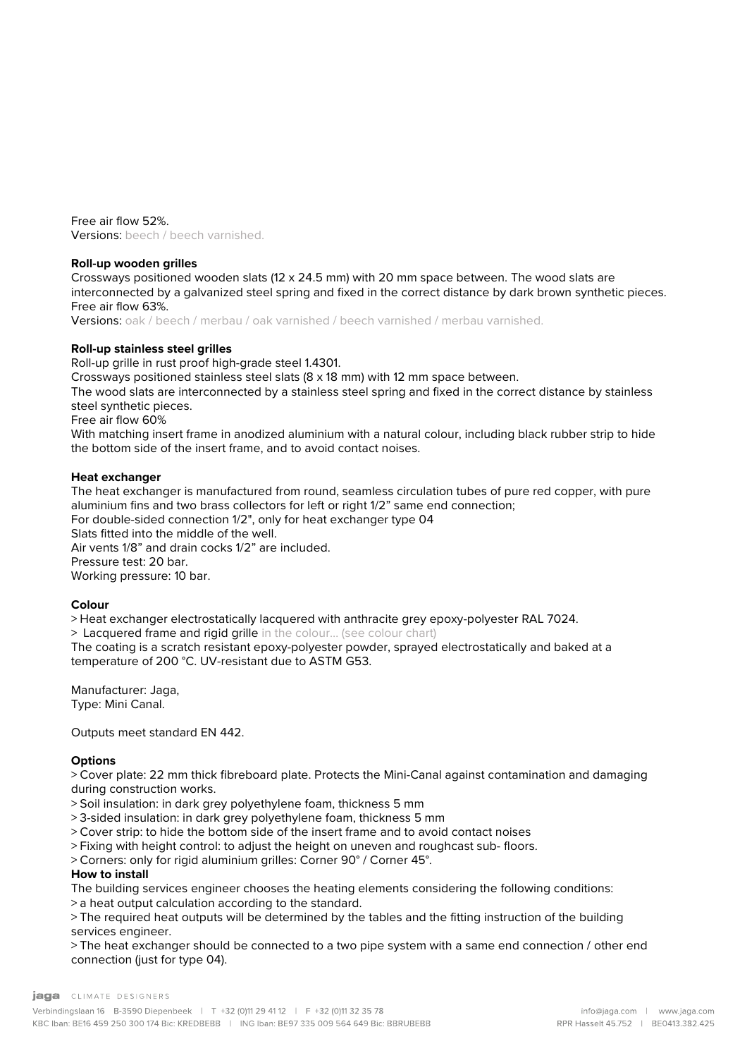Free air flow 52%. Versions: beech / beech varnished.

# **Roll-up wooden grilles**

Crossways positioned wooden slats (12 x 24.5 mm) with 20 mm space between. The wood slats are interconnected by a galvanized steel spring and fixed in the correct distance by dark brown synthetic pieces. Free air flow 63%.

Versions: oak / beech / merbau / oak varnished / beech varnished / merbau varnished.

# **Roll-up stainless steel grilles**

Roll-up grille in rust proof high-grade steel 1.4301.

Crossways positioned stainless steel slats (8 x 18 mm) with 12 mm space between.

The wood slats are interconnected by a stainless steel spring and fixed in the correct distance by stainless steel synthetic pieces.

Free air flow 60%

With matching insert frame in anodized aluminium with a natural colour, including black rubber strip to hide the bottom side of the insert frame, and to avoid contact noises.

# **Heat exchanger**

The heat exchanger is manufactured from round, seamless circulation tubes of pure red copper, with pure aluminium fins and two brass collectors for left or right 1/2" same end connection; For double-sided connection 1/2", only for heat exchanger type 04 Slats fitted into the middle of the well. Air vents 1/8" and drain cocks 1/2" are included. Pressure test: 20 bar. Working pressure: 10 bar.

# **Colour**

> Heat exchanger electrostatically lacquered with anthracite grey epoxy-polyester RAL 7024.

> Lacquered frame and rigid grille in the colour… (see colour chart)

The coating is a scratch resistant epoxy-polyester powder, sprayed electrostatically and baked at a temperature of 200 °C. UV-resistant due to ASTM G53.

Manufacturer: Jaga, Type: Mini Canal.

Outputs meet standard EN 442.

# **Options**

> Cover plate: 22 mm thick fibreboard plate. Protects the Mini-Canal against contamination and damaging during construction works.

> Soil insulation: in dark grey polyethylene foam, thickness 5 mm

> 3-sided insulation: in dark grey polyethylene foam, thickness 5 mm

> Cover strip: to hide the bottom side of the insert frame and to avoid contact noises

> Fixing with height control: to adjust the height on uneven and roughcast sub- floors.

> Corners: only for rigid aluminium grilles: Corner 90° / Corner 45°.

# **How to install**

The building services engineer chooses the heating elements considering the following conditions:

> a heat output calculation according to the standard.

> The required heat outputs will be determined by the tables and the fitting instruction of the building services engineer.

> The heat exchanger should be connected to a two pipe system with a same end connection / other end connection (just for type 04).